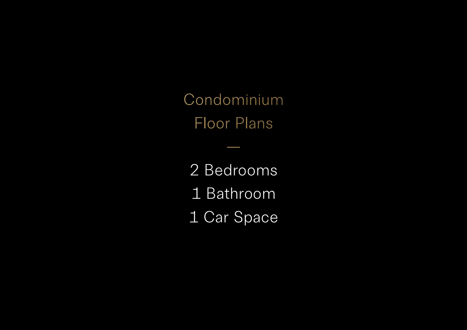Condominium Floor Plans

—

2 Bedrooms 1 Bathroom 1 Car Space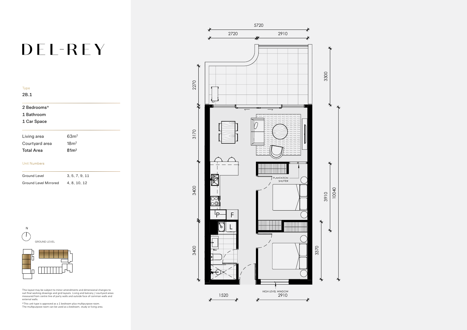# DEL-REY

| 'N.  |
|------|
| 2B.I |

### 2 Bedrooms\*

1 Bathroom

### 1 Car Space

| Living area       | 63 <sup>m²</sup> |
|-------------------|------------------|
| Courtyard area    | 18m <sup>2</sup> |
| <b>Total Area</b> | 81m <sup>2</sup> |

#### Unit Numbers

| Ground Level          | 3.5.7.9.11 |
|-----------------------|------------|
| Ground Level Mirrored | 4.8.10.12  |

This layout may be subject to minor amendments and dimensional changes to suit final working drawings and grid layouts. Living and balcony / courtyard areas measured from centre line of party walls and outside face of common walls and external walls.

\*This unit type is approved as a 1 bedroom plus multipurpose room. The multipurpose room can be used as a bedroom, study or living area.





N